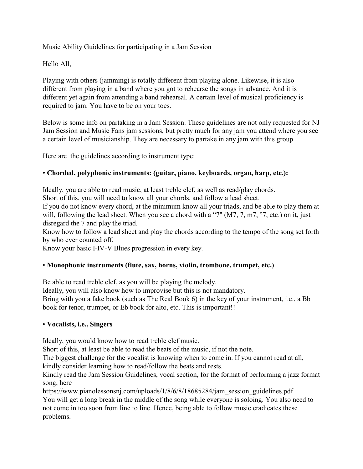Music Ability Guidelines for participating in a Jam Session

Hello All,

Playing with others (jamming) is totally different from playing alone. Likewise, it is also different from playing in a band where you got to rehearse the songs in advance. And it is different yet again from attending a band rehearsal. A certain level of musical proficiency is required to jam. You have to be on your toes.

Below is some info on partaking in a Jam Session. These guidelines are not only requested for NJ Jam Session and Music Fans jam sessions, but pretty much for any jam you attend where you see a certain level of musicianship. They are necessary to partake in any jam with this group.

Here are the guidelines according to instrument type:

# • **Chorded, polyphonic instruments: (guitar, piano, keyboards, organ, harp, etc.):**

Ideally, you are able to read music, at least treble clef, as well as read/play chords.

Short of this, you will need to know all your chords, and follow a lead sheet.

If you do not know every chord, at the minimum know all your triads, and be able to play them at will, following the lead sheet. When you see a chord with a "7" (M7, 7, m7, °7, etc.) on it, just disregard the 7 and play the triad.

Know how to follow a lead sheet and play the chords according to the tempo of the song set forth by who ever counted off.

Know your basic I-IV-V Blues progression in every key.

## • **Monophonic instruments (flute, sax, horns, violin, trombone, trumpet, etc.)**

Be able to read treble clef, as you will be playing the melody.

Ideally, you will also know how to improvise but this is not mandatory.

Bring with you a fake book (such as The Real Book 6) in the key of your instrument, i.e., a Bb book for tenor, trumpet, or Eb book for alto, etc. This is important!!

## • **Vocalists, i.e., Singers**

Ideally, you would know how to read treble clef music.

Short of this, at least be able to read the beats of the music, if not the note.

The biggest challenge for the vocalist is knowing when to come in. If you cannot read at all, kindly consider learning how to read/follow the beats and rests.

Kindly read the Jam Session Guidelines, vocal section, for the format of performing a jazz format song, here

https://www.pianolessonsnj.com/uploads/1/8/6/8/18685284/jam\_session\_guidelines.pdf You will get a long break in the middle of the song while everyone is soloing. You also need to not come in too soon from line to line. Hence, being able to follow music eradicates these problems.